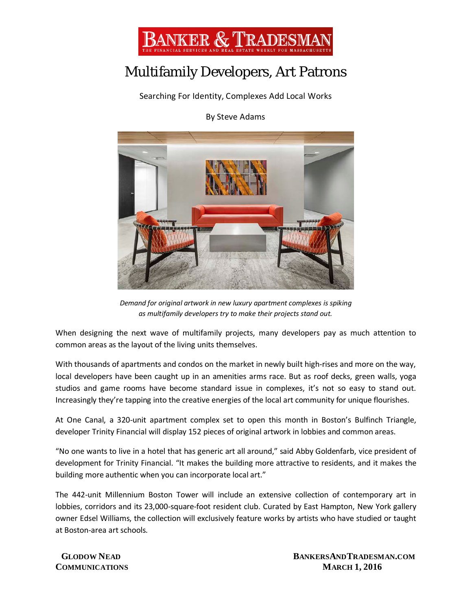

## Multifamily Developers, Art Patrons

Searching For Identity, Complexes Add Local Works

By Steve Adams



*Demand for original artwork in new luxury apartment complexes is spiking as multifamily developers try to make their projects stand out.*

When designing the next wave of multifamily projects, many developers pay as much attention to common areas as the layout of the living units themselves.

With thousands of apartments and condos on the market in newly built high-rises and more on the way, local developers have been caught up in an amenities arms race. But as roof decks, green walls, yoga studios and game rooms have become standard issue in complexes, it's not so easy to stand out. Increasingly they're tapping into the creative energies of the local art community for unique flourishes.

At One Canal, a 320-unit apartment complex set to open this month in Boston's Bulfinch Triangle, developer Trinity Financial will display 152 pieces of original artwork in lobbies and common areas.

"No one wants to live in a hotel that has generic art all around," said Abby Goldenfarb, vice president of development for Trinity Financial. "It makes the building more attractive to residents, and it makes the building more authentic when you can incorporate local art."

The 442-unit Millennium Boston Tower will include an extensive collection of contemporary art in lobbies, corridors and its 23,000-square-foot resident club. Curated by East Hampton, New York gallery owner Edsel Williams, the collection will exclusively feature works by artists who have studied or taught at Boston-area art schools.

**GLODOW NEAD BANKERSAND TRADESMAN.COM COMMUNICATIONS** MARCH 1, 2016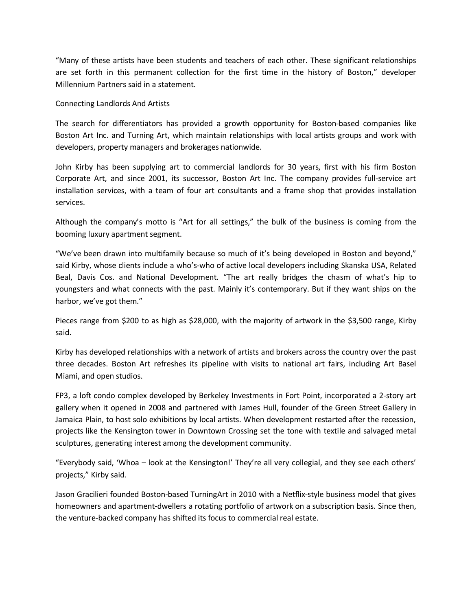"Many of these artists have been students and teachers of each other. These significant relationships are set forth in this permanent collection for the first time in the history of Boston," developer Millennium Partners said in a statement.

## Connecting Landlords And Artists

The search for differentiators has provided a growth opportunity for Boston-based companies like Boston Art Inc. and Turning Art, which maintain relationships with local artists groups and work with developers, property managers and brokerages nationwide.

John Kirby has been supplying art to commercial landlords for 30 years, first with his firm Boston Corporate Art, and since 2001, its successor, Boston Art Inc. The company provides full-service art installation services, with a team of four art consultants and a frame shop that provides installation services.

Although the company's motto is "Art for all settings," the bulk of the business is coming from the booming luxury apartment segment.

"We've been drawn into multifamily because so much of it's being developed in Boston and beyond," said Kirby, whose clients include a who's-who of active local developers including Skanska USA, Related Beal, Davis Cos. and National Development. "The art really bridges the chasm of what's hip to youngsters and what connects with the past. Mainly it's contemporary. But if they want ships on the harbor, we've got them."

Pieces range from \$200 to as high as \$28,000, with the majority of artwork in the \$3,500 range, Kirby said.

Kirby has developed relationships with a network of artists and brokers across the country over the past three decades. Boston Art refreshes its pipeline with visits to national art fairs, including Art Basel Miami, and open studios.

FP3, a loft condo complex developed by Berkeley Investments in Fort Point, incorporated a 2-story art gallery when it opened in 2008 and partnered with James Hull, founder of the Green Street Gallery in Jamaica Plain, to host solo exhibitions by local artists. When development restarted after the recession, projects like the Kensington tower in Downtown Crossing set the tone with textile and salvaged metal sculptures, generating interest among the development community.

"Everybody said, 'Whoa – look at the Kensington!' They're all very collegial, and they see each others' projects," Kirby said.

Jason Gracilieri founded Boston-based TurningArt in 2010 with a Netflix-style business model that gives homeowners and apartment-dwellers a rotating portfolio of artwork on a subscription basis. Since then, the venture-backed company has shifted its focus to commercial real estate.